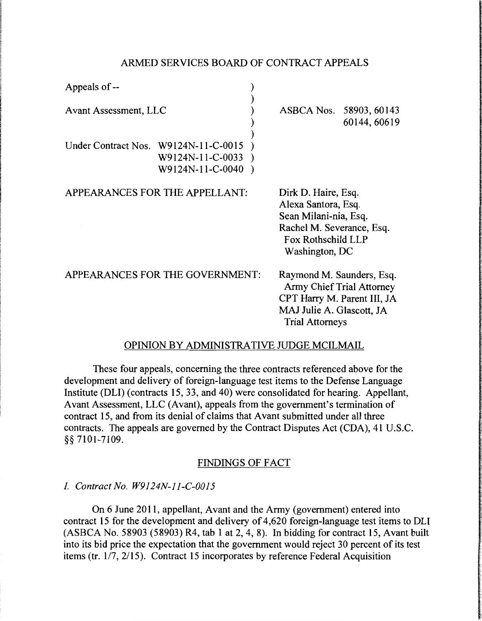#### ARMED SERVICES BOARD OF CONTRACT APPEALS

| Appeals of --                        |                                      |                                                                                                                                                     |                                         |
|--------------------------------------|--------------------------------------|-----------------------------------------------------------------------------------------------------------------------------------------------------|-----------------------------------------|
| Avant Assessment, LLC                |                                      |                                                                                                                                                     | ASBCA Nos. 58903, 60143<br>60144, 60619 |
| Under Contract Nos. W9124N-11-C-0015 | W9124N-11-C-0033<br>W9124N-11-C-0040 |                                                                                                                                                     |                                         |
| APPEARANCES FOR THE APPELLANT:       |                                      | Dirk D. Haire, Esq.<br>Alexa Santora, Esq.<br>Sean Milani-nia, Esq.<br>Rachel M. Severance, Esq.<br>Fox Rothschild LLP<br>Washington, DC            |                                         |
| APPEARANCES FOR THE GOVERNMENT:      |                                      | Raymond M. Saunders, Esq.<br><b>Army Chief Trial Attorney</b><br>CPT Harry M. Parent III, JA<br>MAJ Julie A. Glascott, JA<br><b>Trial Attorneys</b> |                                         |

## OPINION BY ADMINISTRATIVE JUDGE MCILMAIL

These four appeals, concerning the three contracts referenced above for the development and delivery of foreign-language test items to the Defense Language Institute (DLI) (contracts 15, 33, and 40) were consolidated for hearing. Appellant, Avant Assessment, LLC (Avant), appeals from the government's termination of contract 15, and from its denial of claims that Avant submitted under all three contracts. The appeals are governed by the Contract Disputes Act (CDA), 41 U.S.C. § § 7101-7109.

## FINDINGS OF FACT

## I. *Contract No. W9124N-l l-C-0015*

On 6 June 2011, appellant, Avant and the Army (government) entered into contract 15 for the development and delivery of 4,620 foreign-language test items to DLI (ASBCA No. 58903 (58903) R4, tab 1 at 2, 4, 8). In bidding for contract 15, Avant built into its bid price the expectation that the government would reject 30 percent of its test items (tr. 1/7, 2/15). Contract 15 incorporates by reference Federal Acquisition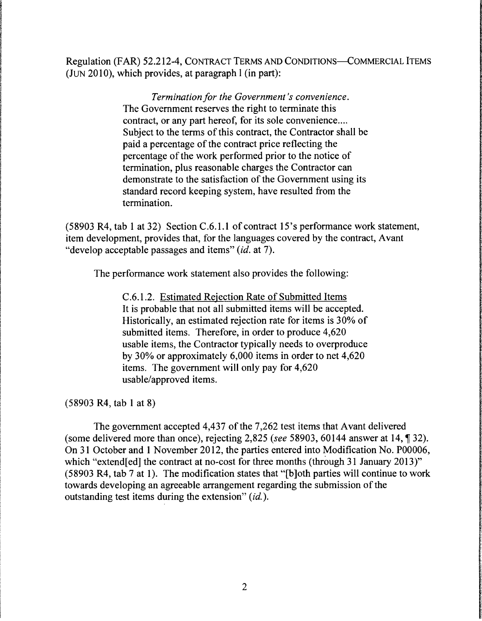Regulation (FAR) 52.212-4, CONTRACT TERMS AND CONDITIONS-COMMERCIAL ITEMS (JUN 2010), which provides, at paragraph  $l$  (in part):

> **Termination for the Government's convenience.** The Government reserves the right to terminate this contract, or any part hereof, for its sole convenience.... Subject to the terms of this contract, the Contractor shall be paid a percentage of the contract price reflecting the percentage of the work performed prior to the notice of termination, plus reasonable charges the Contractor can demonstrate to the satisfaction of the Government using its standard record keeping system, have resulted from the termination.

(58903 R4, tab I at 32) Section C.6.1.1 of contract 15's performance work statement, item development, provides that, for the languages covered by the contract, Avant "develop acceptable passages and items" *(id.* at 7).

The performance work statement also provides the following:

C.6.1.2. Estimated Rejection Rate of Submitted Items It is probable that not all submitted items will be accepted. Historically, an estimated rejection rate for items is 30% of submitted items. Therefore, in order to produce 4,620 usable items, the Contractor typically needs to overproduce by 30% or approximately 6,000 items in order to net 4,620 items. The government will only pay for 4,620 usable/approved items.

(58903 R4, tab 1 at 8)

The government accepted 4,437 of the 7,262 test items that Avant delivered (some delivered more than once), rejecting 2,825 (see 58903, 60144 answer at 14, ¶ 32). On 31 October and 1 November 2012, the parties entered into Modification No. P00006, which "extend[ed] the contract at no-cost for three months (through 31 January 2013)" (58903 R4, tab 7 at 1). The modification states that "[b]oth parties will continue to work towards developing an agreeable arrangement regarding the submission of the outstanding test items during the extension" (id.).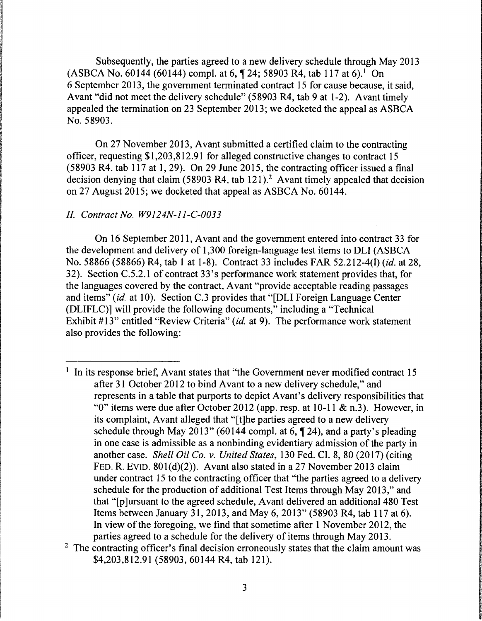Subsequently, the parties agreed to a new delivery schedule through May 2013 (ASBCA No. 60144 (60144) compl. at 6,  $\P$  24; 58903 R4, tab 117 at 6).<sup>1</sup> On 6 September 2013, the government terminated contract 15 for cause because, it said, Avant "did not meet the delivery schedule" (58903 R4, tab 9 at 1-2). Avant timely appealed the termination on 23 September 2013; we docketed the appeal as ASBCA No. 58903.

On 27 November 2013, Avant submitted a certified claim to the contracting officer, requesting \$1,203,812.91 for alleged constructive changes to contract 15 (58903 R4, tab 117 at 1, 29). On 29 June 2015, the contracting officer issued a final decision denying that claim  $(58903 \text{ R4}, \text{tab } 121).$ <sup>2</sup> Avant timely appealed that decision on 27 August 2015; we docketed that appeal as ASBCA No. 60144.

## *II. Contract No. W9124N-ll-C-0033*

On 16 September 2011, Avant and the government entered into contract 33 for the development and delivery of 1,300 foreign-language test items to DLI (ASBCA No. 58866 (58866) R4, tab I at 1-8). Contract 33 includes FAR 52.212-4(1) *(id.* at 28, 32). Section C.5.2.1 of contract 33's performance work statement provides that, for the languages covered by the contract, Avant "provide acceptable reading passages and items" *(id.* at 10). Section C.3 provides that "[DLI Foreign Language Center (DLIFLC)] will provide the following documents," including a "Technical Exhibit #13" entitled "Review Criteria" *(id.* at 9). The performance work statement also provides the following:

 $<sup>1</sup>$  In its response brief, Avant states that "the Government never modified contract 15</sup> after 3 I October 2012 to bind Avant to a new delivery schedule," and represents in a table that purports to depict Avant's delivery responsibilities that "0" items were due after October 2012 (app. resp. at  $10-11 \& n.3$ ). However, in its complaint, Avant alleged that "[t]he parties agreed to a new delivery schedule through May 2013" (60144 compl. at 6,  $\P$  24), and a party's pleading in one case is admissible as a nonbinding evidentiary admission of the party in another case. *Shell Oil Co.* v. *United States,* 130 Fed. Cl. 8, 80 (2017) (citing FED. R. EVID. 80l(d)(2)). Avant also stated in a 27 November 2013 claim under contract 15 to the contracting officer that "the parties agreed to a delivery schedule for the production of additional Test Items through May 2013," and that "[p]ursuant to the agreed schedule, Avant delivered an additional 480 Test Items between January 31, 2013, and May 6, 2013" (58903 R4, tab 117 at 6). In view of the foregoing, we find that sometime after 1 November 2012, the parties agreed to a schedule for the delivery of items through May 2013.

<sup>&</sup>lt;sup>2</sup> The contracting officer's final decision erroneously states that the claim amount was \$4,203,812.91 (58903, 60144 R4, tab 121).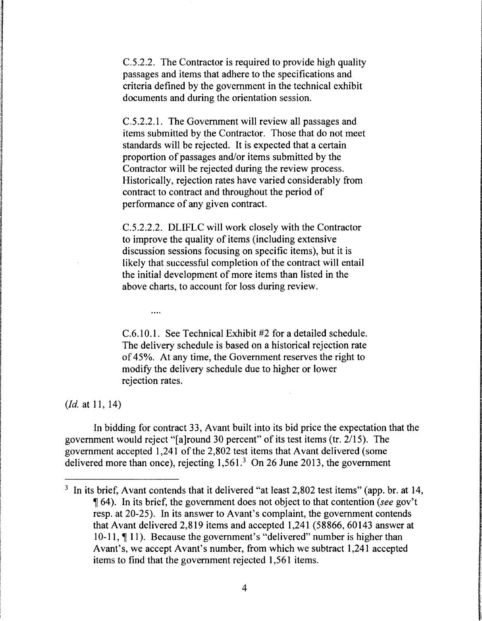C.5.2.2. The Contractor is required to provide high quality passages and items that adhere to the specifications and criteria defined by the government in the technical exhibit documents and during the orientation session.

C.5.2.2.1. The Government will review all passages and items submitted by the Contractor. Those that do not meet standards will be rejected. It is expected that a certain proportion of passages and/or items submitted by the Contractor will be rejected during the review process. Historically, rejection rates have varied considerably from contract to contract and throughout the period of performance of any given contract.

C.5.2.2.2. DLIFLC will work closely with the Contractor to improve the quality of items (including extensive discussion sessions focusing on specific items), but it is likely that successful completion of the contract will entail the initial development of more items than listed in the above charts, to account for loss during review.

C.6.10.1. See Technical Exhibit #2 for a detailed schedule. The delivery schedule is based on a historical rejection rate of 45%. At any time, the Government reserves the right to modify the delivery schedule due to higher or lower rejection rates.

*(Id.* at 11, 14)

 $\cdots$ 

In bidding for contract 33, Avant built into its bid price the expectation that the government would reject "[a]round 30 percent" of its test items (tr. 2115). The government accepted 1,241 of the 2,802 test items that Avant delivered (some delivered more than once), rejecting  $1,561<sup>3</sup>$  On 26 June 2013, the government

 $3\,$  In its brief, Avant contends that it delivered "at least 2,802 test items" (app. br. at 14, ii 64). In its brief, the government does not object to that contention *(see* gov't resp. at 20-25). In its answer to Avant's complaint, the government contends that Avant delivered 2,819 items and accepted 1,241 (58866, 60143 answer at 10-11,  $\P$  11). Because the government's "delivered" number is higher than Avant's, we accept Avant's number, from which we subtract 1,241 accepted items to find that the government rejected 1,561 items.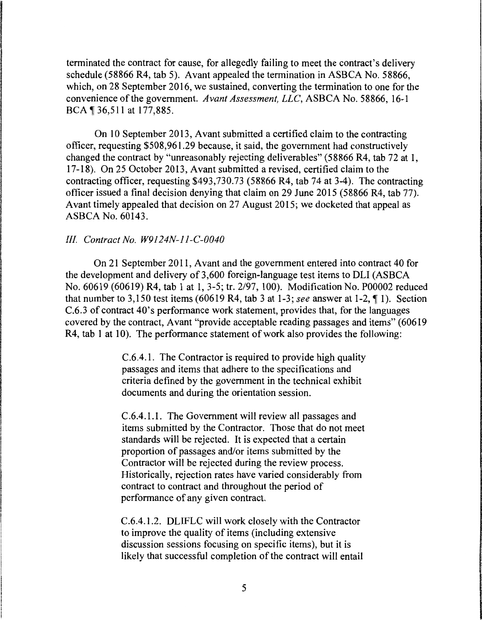terminated the contract for cause, for allegedly failing to meet the contract's delivery schedule (58866 R4, tab 5). Avant appealed the termination in ASBCA No. 58866, which, on 28 September 2016, we sustained, converting the termination to one for the convenience of the government. *Avant Assessment, LLC,* ASBCA No. 58866, 16-1 BCA \[ 36,511 at 177,885.

On 10 September 2013, Avant submitted a certified claim to the contracting officer, requesting \$508,961.29 because, it said, the government had constructively changed the contract by "unreasonably rejecting deliverables" (58866 R4, tab 72 at 1, 17-18). On 25 October 2013, Avant submitted a revised, certified claim to the contracting officer, requesting \$493,730.73 (58866 R4, tab 74 at 3-4). The contracting officer issued a final decision denying that claim on 29 June 2015 (58866 R4, tab 77). Avant timely appealed that decision on 27 August 2015; we docketed that appeal as ASBCA No. 60143.

#### *III. Contract No. W9124N-11-C-0040*

On 21 September 2011, Avant and the government entered into contract 40 for the development and delivery of 3,600 foreign-language test items to DLI (ASBCA No. 60619 (60619) R4, tab 1at1, 3-5; tr. 2/97, 100). Modification No. P00002 reduced that number to  $3,150$  test items (60619 R4, tab 3 at 1-3; *see* answer at 1-2,  $\P$  1). Section C.6.3 of contract 40's performance work statement, provides that, for the languages covered by the contract, Avant "provide acceptable reading passages and items" ( 60619 R4, tab 1 at 10). The performance statement of work also provides the following:

> C.6.4.1. The Contractor is required to provide high quality passages and items that adhere to the specifications and criteria defined by the government in the technical exhibit documents and during the orientation session.

> C.6.4.1.1. The Government will review all passages and items submitted by the Contractor. Those that do not meet standards will be rejected. It is expected that a certain proportion of passages and/or items submitted by the Contractor will be rejected during the review process. Historically, rejection rates have varied considerably from contract to contract and throughout the period of performance of any given contract.

> C.6.4.1.2. DLIFLC will work closely with the Contractor to improve the quality of items (including extensive discussion sessions focusing on specific items), but it is likely that successful completion of the contract will entail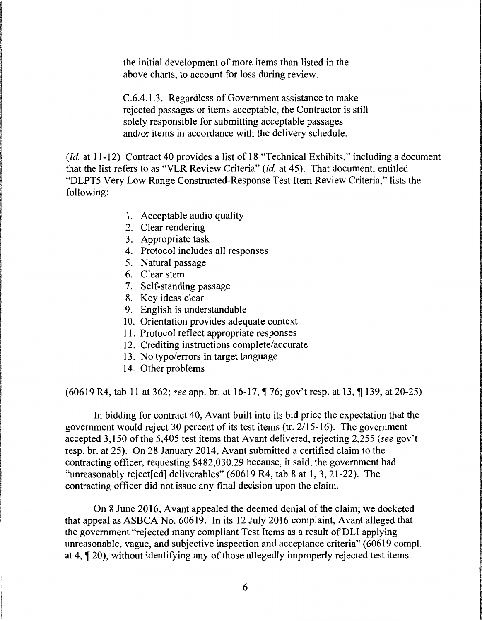the initial development of more items than listed in the above charts, to account for loss during review.

C.6.4.1.3. Regardless of Government assistance to make rejected passages or items acceptable, the Contractor is still solely responsible for submitting acceptable passages and/or items in accordance with the delivery schedule.

*(Id.* at 11-12) Contract 40 provides a list of 18 "Technical Exhibits," including a document that the list refers to as "VLR Review Criteria" *(id.* at 45). That document, entitled "DLPT5 Very Low Range Constructed-Response Test Item Review Criteria," lists the following:

- 1. Acceptable audio quality
- 2. Clear rendering
- 3. Appropriate task
- 4. Protocol includes all responses
- 5. Natural passage
- 6. Clear stem
- 7. Self-standing passage
- 8. Key ideas clear
- 9. English is understandable
- 10. Orientation provides adequate context
- 11. Protocol reflect appropriate responses
- 12. Crediting instructions complete/accurate
- 13. No typo/ errors in target language
- 14. Other problems

(60619 R4, tab 11 at 362; *see* app. br. at 16-17,  $\sqrt{76}$ ; gov't resp. at 13,  $\sqrt{71}$  139, at 20-25)

In bidding for contract 40, Avant built into its bid price the expectation that the government would reject 30 percent of its test items (tr. 2/15-16). The government accepted 3,150 of the 5,405 test items that Avant delivered, rejecting 2,255 *(see* gov't resp. br. at 25). On 28 January 2014, Avant submitted a certified claim to the contracting officer, requesting \$482,030.29 because, it said, the government had "unreasonably reject[ed] deliverables" (60619 R4, tab 8 at 1, 3, 21-22). The contracting officer did not issue any final decision upon the claim.

On 8 June 2016, Avant appealed the deemed denial of the claim; we docketed that appeal as ASBCA No. 60619. In its 12 July 2016 complaint, Avant alleged that the government "rejected many compliant Test Items as a result of DLI applying unreasonable, vague, and subjective inspection and acceptance criteria" (60619 compl. at 4,  $\lll$  20), without identifying any of those allegedly improperly rejected test items.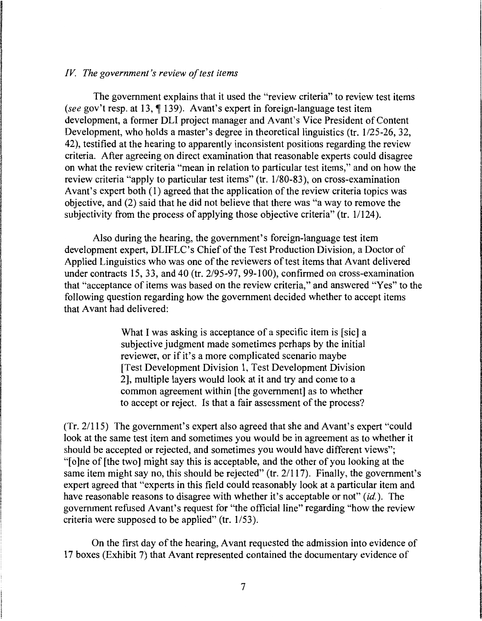#### *IV The government's review of test items*

The government explains that it used the "review criteria" to review test items *(see gov't resp. at 13, 1139). Avant's expert in foreign-language test item* development, a former DLI project manager and Avant's Vice President of Content Development, who holds a master's degree in theoretical linguistics (tr. 1/25-26, 32, 42), testified at the hearing to apparently inconsistent positions regarding the review criteria. After agreeing on direct examination that reasonable experts could disagree on what the review criteria "mean in relation to particular test items," and on how the review criteria "apply to particular test items" (tr. 1/80-83 ), on cross-examination Avant's expert both (1) agreed that the application of the review criteria topics was objective, and (2) said that he did not believe that there was "a way to remove the subjectivity from the process of applying those objective criteria" (tr. 1/124).

Also during the hearing, the government's foreign-language test item development expert, DLIFLC's Chief of the Test Production Division, a Doctor of Applied Linguistics who was one of the reviewers of test items that Avant delivered under contracts 15, 33, and 40 (tr. 2/95-97, 99-100), confirmed on cross-examination that "acceptance of items was based on the review criteria," and answered "Yes" to the following question regarding how the government decided whether to accept items that Avant had delivered:

> What I was asking is acceptance of a specific item is [sic] a subjective judgment made sometimes perhaps by the initial reviewer, or if it's a more complicated scenario maybe [Test Development Division 1, Test Development Division 2], multiple layers would look at it and try and come to a common agreement within [the government] as to whether to accept or reject. Is that a fair assessment of the process?

(Tr. 21115) The government's expert also agreed that she and Avant's expert "could look at the same test item and sometimes you would be in agreement as to whether it should be accepted or rejected, and sometimes you would have different views"; "[o]ne of [the two] might say this is acceptable, and the other of you looking at the same item might say no, this should be rejected" (tr. 2/117). Finally, the government's expert agreed that "experts in this field could reasonably look at a particular item and have reasonable reasons to disagree with whether it's acceptable or not" *(id.).* The government refused Avant's request for "the official line" regarding "how the review criteria were supposed to be applied" (tr. 1/53).

On the first day of the hearing, Avant requested the admission into evidence of 17 boxes (Exhibit 7) that Avant represented contained the documentary evidence of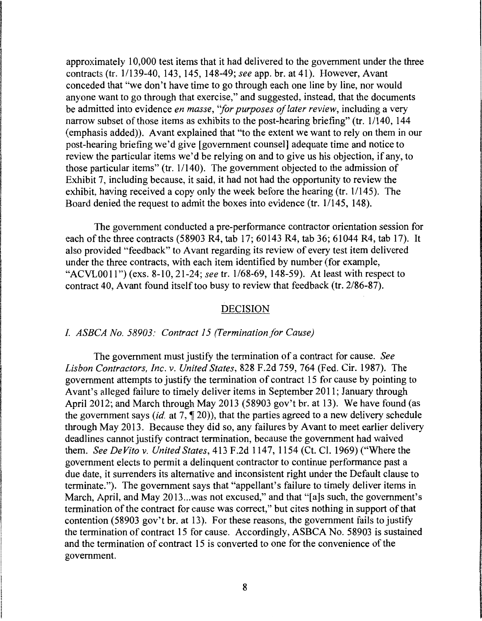approximately 10,000 test items that it had delivered to the government under the three contracts (tr. 1/139-40, 143, 145, 148-49; *see* app. br. at 41). However, Avant conceded that "we don't have time to go through each one line by line, nor would anyone want to go through that exercise," and suggested, instead, that the documents be admitted into evidence *en masse, ''for purposes of later review,* including a very narrow subset of those items as exhibits to the post-hearing briefing" (tr. 1/140, 144) (emphasis added)). Avant explained that "to the extent we want to rely on them in our post-hearing briefing we'd give [government counsel] adequate time and notice to review the particular items we'd be relying on and to give us his objection, if any, to those particular items" (tr.  $1/140$ ). The government objected to the admission of Exhibit 7, including because, it said, it had not had the opportunity to review the exhibit, having received a copy only the week before the hearing (tr. 1/145). The Board denied the request to admit the boxes into evidence (tr. 1/145, 148).

The government conducted a pre-performance contractor orientation session for each of the three contracts (58903 R4, tab 17; 60143 R4, tab 36; 61044 R4, tab 17). It also provided "feedback" to Avant regarding its review of every test item delivered under the three contracts, with each item identified by number (for example, "ACVL0011") (exs. 8-10, 21-24; *see* tr. 1/68-69, 148-59). At least with respect to contract 40, Avant found itself too busy to review that feedback (tr. 2/86-87).

#### DECISION

#### *I. ASBCA No. 58903: Contract 15 (Termination for Cause)*

The government must justify the termination of a contract for cause. *See Lisbon Contractors, Inc. v. United States,* 828 F.2d 759, 764 (Fed. Cir. 1987). The government attempts to justify the termination of contract 15 for cause by pointing to Avant's alleged failure to timely deliver items in September 2011; January through April 2012; and March through May 2013 (58903 gov't br. at 13). We have found (as the government says *(id. at 7, \meta*)), that the parties agreed to a new delivery schedule through May 2013. Because they did so, any failures by Avant to meet earlier delivery deadlines cannot justify contract termination, because the government had waived them. *See De Vito v. United States,* 413 F.2d 1147, 1154 (Ct. Cl. 1969) ("Where the government elects to permit a delinquent contractor to continue performance past a due date, it surrenders its alternative and inconsistent right under the Default clause to terminate."). The government says that "appellant's failure to timely deliver items in March, April, and May 2013...was not excused," and that "[a]s such, the government's termination of the contract for cause was correct," but cites nothing in support of that contention (58903 gov't br. at 13). For these reasons, the government fails to justify the termination of contract 15 for cause. Accordingly, ASBCA No. 58903 is sustained and the termination of contract 15 is converted to one for the convenience of the government.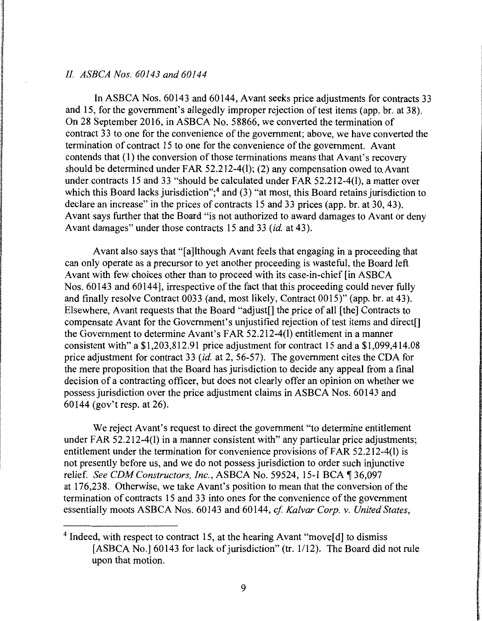# *II. ASBCA Nos. 60143 and 60144*

In ASBCA Nos. 60143 and 60144, Avant seeks price adjustments for contracts 33 and 15, for the government's allegedly improper rejection of test items (app. br. at 38). On 28 September 2016, in ASBCA No. 58866, we converted the termination of contract 33 to one for the convenience of the government; above, we have converted the termination of contract 15 to one for the convenience of the government. Avant contends that (1) the conversion of those terminations means that Avant's recovery should be determined under FAR 52.212-4(1); (2) any compensation owed to.Avant under contracts 15 and 33 "should be calculated under FAR 52.212-4(1), a matter over which this Board lacks jurisdiction";<sup>4</sup> and (3) "at most, this Board retains jurisdiction to declare an increase" in the prices of contracts 15 and 33 prices (app. br. at 30, 43). Avant says further that the Board "is not authorized to award damages to Avant or deny Avant damages" under those contracts 15 and 33 *(id.* at 43).

Avant also says that "[a]lthough Avant feels that engaging in a proceeding that can only operate as a precursor to yet another proceeding is wasteful, the Board left Avant with few choices other than to proceed with its case-in-chief [in ASBCA Nos. 60143 and 60144], irrespective of the fact that this proceeding could never fully and finally resolve Contract 0033 (and, most likely, Contract 0015)" (app. br. at 43). Elsewhere, Avant requests that the Board "adjust[] the price of all [the] Contracts to compensate Avant for the Government's unjustified rejection of test items and direct<sup>[]</sup> the Government to determine Avant's FAR 52.212-4(1) entitlement in a manner consistent with" a \$1,203,812.91 price adjustment for contract 15 and a \$1,099,414.08 price adjustment for contract 33 *(id.* at 2, 56-57). The government cites the CDA for the mere proposition that the Board has jurisdiction to decide any appeal from a final decision of a contracting officer, but does not clearly offer an opinion on whether we possess jurisdiction over the price adjustment claims in ASBCA Nos. 60143 and 60144 (gov't resp. at 26).

We reject Avant's request to direct the government "to determine entitlement under FAR 52.212-4(1) in a manner consistent with" any particular price adjustments; entitlement under the termination for convenience provisions of FAR 52.212-4(1) is not presently before us, and we do not possess jurisdiction to order such injunctive relief. *See CDM Constructors, Inc., ASBCA No.* 59524, 15-1 BCA ¶ 36,097 at 176,238. Otherwise, we take Avant's position to mean that the conversion of the termination of contracts 15 and 33 into ones for the convenience of the government essentially moots ASBCA Nos. 60143 and 60144, *cf Ka/var Corp.* v. *United States,* 

<sup>&</sup>lt;sup>4</sup> Indeed, with respect to contract 15, at the hearing Avant "move[d] to dismiss [ASBCA No.] 60143 for lack of jurisdiction" (tr. 1/12). The Board did not rule upon that motion.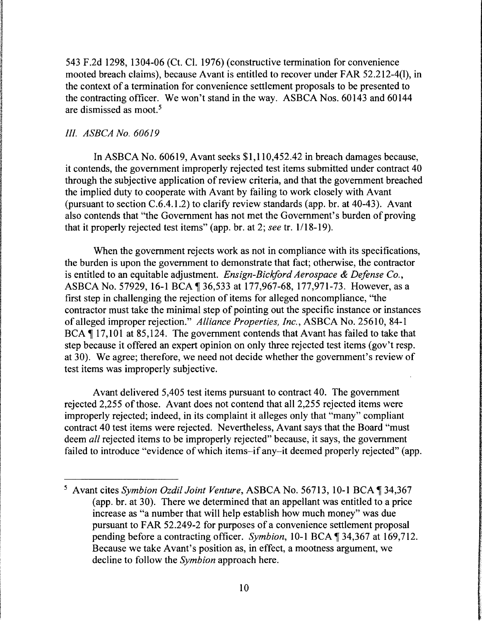543 F.2d 1298, 1304-06 (Ct. Cl. 1976) (constructive termination for convenience mooted breach claims), because Avant is entitled to recover under FAR 52.212-4(1), in the context of a termination for convenience settlement proposals to be presented to the contracting officer. We won't stand in the way. ASBCA Nos. 60143 and 60144 are dismissed as moot. 5

# *III. ASBCA No. 60619*

In ASBCA No. 60619, Avant seeks \$1,110,452.42 in breach damages because, it contends, the government improperly rejected test items submitted under contract 40 through the subjective application of review criteria, and that the government breached the implied duty to cooperate with Avant by failing to work closely with Avant (pursuant to section C.6.4.1.2) to clarify review standards (app. br. at 40-43). Avant also contends that "the Government has not met the Government's burden of proving that it properly rejected test items" (app. br. at 2; *see* tr. 1/18-19).

When the government rejects work as not in compliance with its specifications, the burden is upon the government to demonstrate that fact; otherwise, the contractor is entitled to an equitable adjustment. *Ensign-Bickford Aerospace* & *Defense Co.,*  ASBCA No. 57929, 16-1 BCA 1 36,533 at 177,967-68, 177,971-73. However, as a first step in challenging the rejection of items for alleged noncompliance, "the contractor must take the minimal step of pointing out the specific instance or instances of alleged improper rejection." *Alliance Properties, Inc.,* ASBCA No. 25610, 84-1 BCA ¶ 17,101 at 85,124. The government contends that Avant has failed to take that step because it offered an expert opinion on only three rejected test items (gov't resp. at 30). We agree; therefore, we need not decide whether the government's review of test items was improperly subjective.

Avant delivered 5,405 test items pursuant to contract 40. The government rejected 2,255 of those. Avant does not contend that all 2,255 rejected items were improperly rejected; indeed, in its complaint it alleges only that "many" compliant contract 40 test items were rejected. Nevertheless, Avant says that the Board "must deem *all* rejected items to be improperly rejected" because, it says, the government failed to introduce "evidence of which items-if any-it deemed properly rejected" (app.

<sup>&</sup>lt;sup>5</sup> Avant cites *Symbion Ozdil Joint Venture*, ASBCA No. 56713, 10-1 BCA | 34,367 (app. br. at 30). There we determined that an appellant was entitled to a price increase as "a number that will help establish how much money" was due pursuant to FAR 52.249-2 for purposes of a convenience settlement proposal pending before a contracting officer. *Symbion*, 10-1 BCA, 134,367 at 169,712. Because we take Avant's position as, in effect, a mootness argument, we decline to follow the *Symbian* approach here.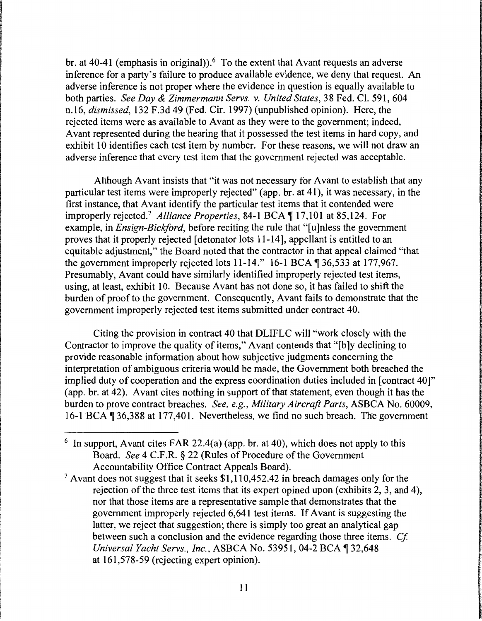br. at 40-41 (emphasis in original)).<sup>6</sup> To the extent that Avant requests an adverse inference for a party's failure to produce available evidence, we deny that request. An adverse inference is not proper where the evidence in question is equally available to both parties. *See Day* & *Zimmermann Servs. v. United States,* 38 Fed. Cl. 591, 604 n.16, *dismissed,* 132 F .3d 49 (Fed. Cir. 1997) (unpublished opinion). Here, the rejected items were as available to Avant as they were to the government; indeed, Avant represented during the hearing that it possessed the test items in hard copy, and exhibit 10 identifies each test item by number. For these reasons, we will not draw an adverse inference that every test item that the government rejected was acceptable.

Although Avant insists that "it was not necessary for Avant to establish that any particular test items were improperly rejected" (app. br. at 41 ), it was necessary, in the first instance, that Avant identify the particular test items that it contended were improperly rejected.<sup>7</sup> Alliance Properties, 84-1 BCA ¶ 17,101 at 85,124. For example, in *Ensign-Bickford*, before reciting the rule that "[u]nless the government proves that it properly rejected [detonator lots 11-14], appellant is entitled to an equitable adjustment," the Board noted that the contractor in that appeal claimed "that the government improperly rejected lots  $11-14$ ." 16-1 BCA  $\parallel$  36,533 at 177,967. Presumably, Avant could have similarly identified improperly rejected test items, using, at least, exhibit 10. Because Avant has not done so, it has failed to shift the burden of proof to the government. Consequently, Avant fails to demonstrate that the government improperly rejected test items submitted under contract 40.

Citing the provision in contract 40 that DLIFLC will "work closely with the Contractor to improve the quality of items," Avant contends that "[b]y declining to provide reasonable information about how subjective judgments concerning the interpretation of ambiguous criteria would be made, the Government both breached the implied duty of cooperation and the express coordination duties included in [contract 40]" (app. hr. at 42). Avant cites nothing in support of that statement, even though it has the burden to prove contract breaches. *See, e.g., Military Aircraft Parts,* ASBCA No. 60009, 16-1 BCA 1 36,388 at 177,401. Nevertheless, we find no such breach. The government

<sup>&</sup>lt;sup>6</sup> In support, Avant cites FAR 22.4(a) (app. br. at 40), which does not apply to this Board. *See* 4 C.F.R. § 22 (Rules of Procedure of the Government Accountability Office Contract Appeals Board).

 $7$  Avant does not suggest that it seeks \$1,110,452.42 in breach damages only for the rejection of the three test items that its expert opined upon (exhibits 2, 3, and 4), nor that those items are a representative sample that demonstrates that the government improperly rejected 6,641 test items. If Avant is suggesting the latter, we reject that suggestion; there is simply too great an analytical gap between such a conclusion and the evidence regarding those three items. *Cf Universal Yacht Servs., Inc., ASBCA No.* 53951, 04-2 BCA ¶ 32,648 at 161,578-59 (rejecting expert opinion).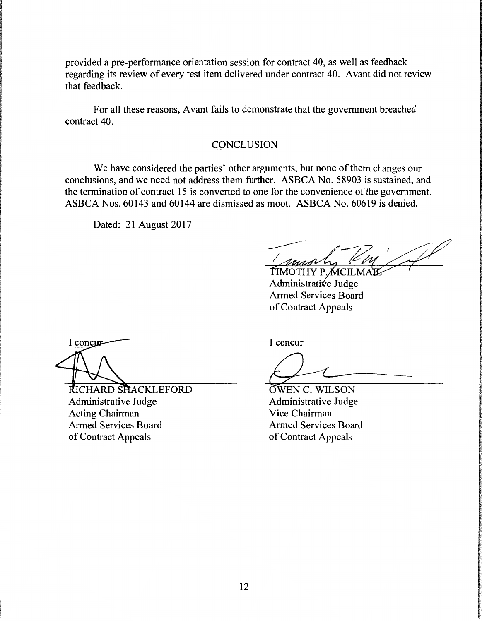provided a pre-performance orientation session for contract 40, as well as feedback regarding its review of every test item delivered under contract 40. Avant did not review that feedback.

For all these reasons, Avant fails to demonstrate that the government breached contract 40.

## **CONCLUSION**

We have considered the parties' other arguments, but none of them changes our conclusions, and we need not address them further. ASBCA No. 58903 is sustained, and the termination of contract 15 is converted to one for the convenience of the government. ASBCA Nos. 60143 and 60144 are dismissed as moot. ASBCA No. 60619 is denied.

Dated: 21 August 2017

TIMOTHY P.MCILM Administrative Judge Armed Services Board of Contract Appeals

I concur

RICHARD SHACKLEFORD Administrative Judge Acting Chairman Armed Services Board of Contract Appeals

I concur

OWEN C. WILSON Administrative Judge Vice Chairman Armed Services Board of Contract Appeals